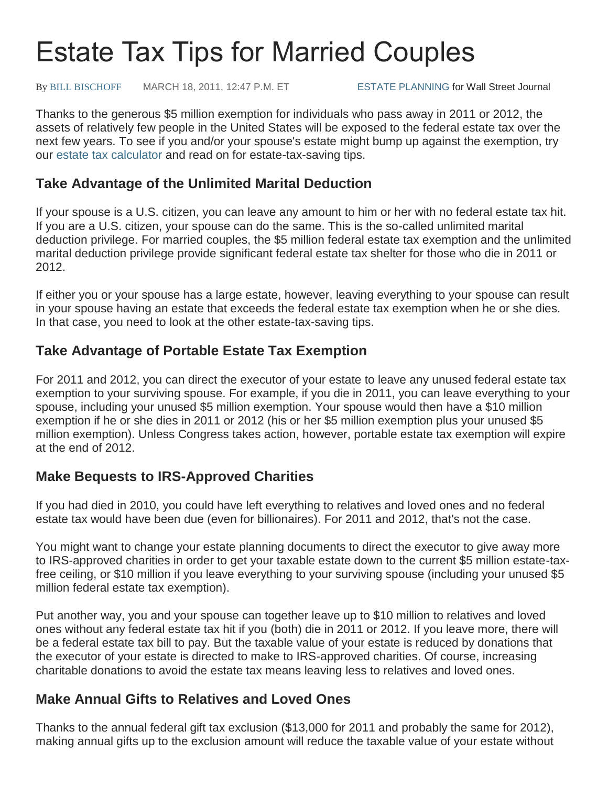# Estate Tax Tips for Married Couples

By [BILL BISCHOFF](javascript:void(0);) MARCH 18, 2011, 12:47 P.M. ET [ESTATE PLANNING](http://www.smartmoney.com/retirement/estate-planning/) for Wall Street Journal

Thanks to the generous \$5 million exemption for individuals who pass away in 2011 or 2012, the assets of relatively few people in the United States will be exposed to the federal estate tax over the next few years. To see if you and/or your spouse's estate might bump up against the exemption, try our [estate tax calculator](http://www.smartmoney.com/Personal-Finance/Taxes/Will-You-Owe-Estate-Taxes-9554/) and read on for estate-tax-saving tips.

#### **Take Advantage of the Unlimited Marital Deduction**

If your spouse is a U.S. citizen, you can leave any amount to him or her with no federal estate tax hit. If you are a U.S. citizen, your spouse can do the same. This is the so-called unlimited marital deduction privilege. For married couples, the \$5 million federal estate tax exemption and the unlimited marital deduction privilege provide significant federal estate tax shelter for those who die in 2011 or 2012.

If either you or your spouse has a large estate, however, leaving everything to your spouse can result in your spouse having an estate that exceeds the federal estate tax exemption when he or she dies. In that case, you need to look at the other estate-tax-saving tips.

## **Take Advantage of Portable Estate Tax Exemption**

For 2011 and 2012, you can direct the executor of your estate to leave any unused federal estate tax exemption to your surviving spouse. For example, if you die in 2011, you can leave everything to your spouse, including your unused \$5 million exemption. Your spouse would then have a \$10 million exemption if he or she dies in 2011 or 2012 (his or her \$5 million exemption plus your unused \$5 million exemption). Unless Congress takes action, however, portable estate tax exemption will expire at the end of 2012.

## **Make Bequests to IRS-Approved Charities**

If you had died in 2010, you could have left everything to relatives and loved ones and no federal estate tax would have been due (even for billionaires). For 2011 and 2012, that's not the case.

You might want to change your estate planning documents to direct the executor to give away more to IRS-approved charities in order to get your taxable estate down to the current \$5 million estate-taxfree ceiling, or \$10 million if you leave everything to your surviving spouse (including your unused \$5 million federal estate tax exemption).

Put another way, you and your spouse can together leave up to \$10 million to relatives and loved ones without any federal estate tax hit if you (both) die in 2011 or 2012. If you leave more, there will be a federal estate tax bill to pay. But the taxable value of your estate is reduced by donations that the executor of your estate is directed to make to IRS-approved charities. Of course, increasing charitable donations to avoid the estate tax means leaving less to relatives and loved ones.

## **Make Annual Gifts to Relatives and Loved Ones**

Thanks to the annual federal gift tax exclusion (\$13,000 for 2011 and probably the same for 2012), making annual gifts up to the exclusion amount will reduce the taxable value of your estate without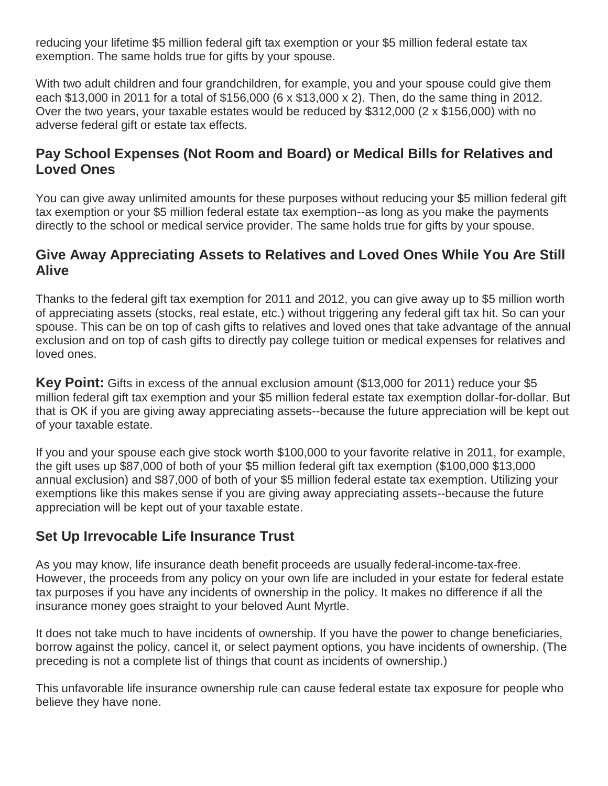reducing your lifetime \$5 million federal gift tax exemption or your \$5 million federal estate tax exemption. The same holds true for gifts by your spouse.

With two adult children and four grandchildren, for example, you and your spouse could give them each \$13,000 in 2011 for a total of \$156,000 (6 x \$13,000 x 2). Then, do the same thing in 2012. Over the two years, your taxable estates would be reduced by \$312,000 (2 x \$156,000) with no adverse federal gift or estate tax effects.

## **Pay School Expenses (Not Room and Board) or Medical Bills for Relatives and Loved Ones**

You can give away unlimited amounts for these purposes without reducing your \$5 million federal gift tax exemption or your \$5 million federal estate tax exemption--as long as you make the payments directly to the school or medical service provider. The same holds true for gifts by your spouse.

#### **Give Away Appreciating Assets to Relatives and Loved Ones While You Are Still Alive**

Thanks to the federal gift tax exemption for 2011 and 2012, you can give away up to \$5 million worth of appreciating assets (stocks, real estate, etc.) without triggering any federal gift tax hit. So can your spouse. This can be on top of cash gifts to relatives and loved ones that take advantage of the annual exclusion and on top of cash gifts to directly pay college tuition or medical expenses for relatives and loved ones.

**Key Point:** Gifts in excess of the annual exclusion amount (\$13,000 for 2011) reduce your \$5 million federal gift tax exemption and your \$5 million federal estate tax exemption dollar-for-dollar. But that is OK if you are giving away appreciating assets--because the future appreciation will be kept out of your taxable estate.

If you and your spouse each give stock worth \$100,000 to your favorite relative in 2011, for example, the gift uses up \$87,000 of both of your \$5 million federal gift tax exemption (\$100,000 \$13,000 annual exclusion) and \$87,000 of both of your \$5 million federal estate tax exemption. Utilizing your exemptions like this makes sense if you are giving away appreciating assets--because the future appreciation will be kept out of your taxable estate.

# **Set Up Irrevocable Life Insurance Trust**

As you may know, life insurance death benefit proceeds are usually federal-income-tax-free. However, the proceeds from any policy on your own life are included in your estate for federal estate tax purposes if you have any incidents of ownership in the policy. It makes no difference if all the insurance money goes straight to your beloved Aunt Myrtle.

It does not take much to have incidents of ownership. If you have the power to change beneficiaries, borrow against the policy, cancel it, or select payment options, you have incidents of ownership. (The preceding is not a complete list of things that count as incidents of ownership.)

This unfavorable life insurance ownership rule can cause federal estate tax exposure for people who believe they have none.